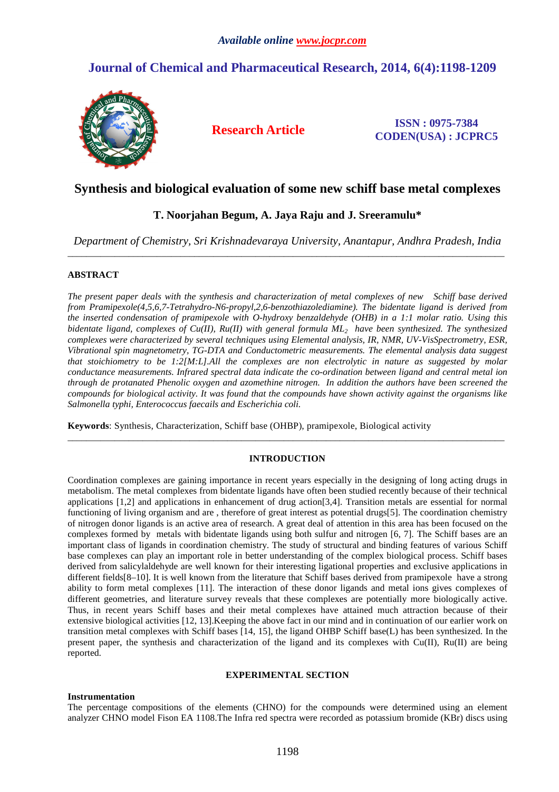# **Journal of Chemical and Pharmaceutical Research, 2014, 6(4):1198-1209**



**Research Article ISSN : 0975-7384 CODEN(USA) : JCPRC5**

## **Synthesis and biological evaluation of some new schiff base metal complexes**

## **T. Noorjahan Begum, A. Jaya Raju and J. Sreeramulu\***

*Department of Chemistry, Sri Krishnadevaraya University, Anantapur, Andhra Pradesh, India*  \_\_\_\_\_\_\_\_\_\_\_\_\_\_\_\_\_\_\_\_\_\_\_\_\_\_\_\_\_\_\_\_\_\_\_\_\_\_\_\_\_\_\_\_\_\_\_\_\_\_\_\_\_\_\_\_\_\_\_\_\_\_\_\_\_\_\_\_\_\_\_\_\_\_\_\_\_\_\_\_\_\_\_\_\_\_\_\_\_\_\_\_\_

## **ABSTRACT**

*The present paper deals with the synthesis and characterization of metal complexes of new Schiff base derived from Pramipexole(4,5,6,7-Tetrahydro-N6-propyl,2,6-benzothiazolediamine). The bidentate ligand is derived from the inserted condensation of pramipexole with O-hydroxy benzaldehyde (OHB) in a 1:1 molar ratio. Using this bidentate ligand, complexes of Cu(II), Ru(II) with general formula ML2 have been synthesized. The synthesized complexes were characterized by several techniques using Elemental analysis, IR, NMR, UV-VisSpectrometry, ESR, Vibrational spin magnetometry, TG-DTA and Conductometric measurements. The elemental analysis data suggest that stoichiometry to be 1:2[M:L].All the complexes are non electrolytic in nature as suggested by molar conductance measurements. Infrared spectral data indicate the co-ordination between ligand and central metal ion through de protanated Phenolic oxygen and azomethine nitrogen. In addition the authors have been screened the compounds for biological activity. It was found that the compounds have shown activity against the organisms like Salmonella typhi, Enterococcus faecails and Escherichia coli.* 

**Keywords**: Synthesis, Characterization, Schiff base (OHBP), pramipexole, Biological activity

## **INTRODUCTION**

\_\_\_\_\_\_\_\_\_\_\_\_\_\_\_\_\_\_\_\_\_\_\_\_\_\_\_\_\_\_\_\_\_\_\_\_\_\_\_\_\_\_\_\_\_\_\_\_\_\_\_\_\_\_\_\_\_\_\_\_\_\_\_\_\_\_\_\_\_\_\_\_\_\_\_\_\_\_\_\_\_\_\_\_\_\_\_\_\_\_\_\_\_

Coordination complexes are gaining importance in recent years especially in the designing of long acting drugs in metabolism. The metal complexes from bidentate ligands have often been studied recently because of their technical applications [1,2] and applications in enhancement of drug action[3,4]. Transition metals are essential for normal functioning of living organism and are , therefore of great interest as potential drugs[5]. The coordination chemistry of nitrogen donor ligands is an active area of research. A great deal of attention in this area has been focused on the complexes formed by metals with bidentate ligands using both sulfur and nitrogen [6, 7]. The Schiff bases are an important class of ligands in coordination chemistry. The study of structural and binding features of various Schiff base complexes can play an important role in better understanding of the complex biological process. Schiff bases derived from salicylaldehyde are well known for their interesting ligational properties and exclusive applications in different fields[8–10]. It is well known from the literature that Schiff bases derived from pramipexole have a strong ability to form metal complexes [11]. The interaction of these donor ligands and metal ions gives complexes of different geometries, and literature survey reveals that these complexes are potentially more biologically active. Thus, in recent years Schiff bases and their metal complexes have attained much attraction because of their extensive biological activities [12, 13].Keeping the above fact in our mind and in continuation of our earlier work on transition metal complexes with Schiff bases [14, 15], the ligand OHBP Schiff base(L) has been synthesized. In the present paper, the synthesis and characterization of the ligand and its complexes with  $Cu(II)$ ,  $Ru(II)$  are being reported.

## **EXPERIMENTAL SECTION**

## **Instrumentation**

The percentage compositions of the elements (CHNO) for the compounds were determined using an element analyzer CHNO model Fison EA 1108.The Infra red spectra were recorded as potassium bromide (KBr) discs using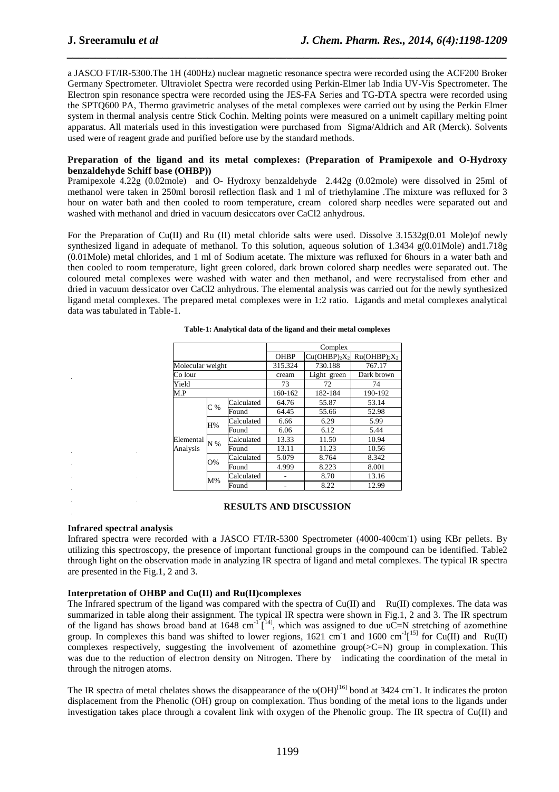a JASCO FT/IR-5300.The 1H (400Hz) nuclear magnetic resonance spectra were recorded using the ACF200 Broker Germany Spectrometer. Ultraviolet Spectra were recorded using Perkin-Elmer lab India UV-Vis Spectrometer. The Electron spin resonance spectra were recorded using the JES-FA Series and TG-DTA spectra were recorded using the SPTQ600 PA, Thermo gravimetric analyses of the metal complexes were carried out by using the Perkin Elmer system in thermal analysis centre Stick Cochin. Melting points were measured on a unimelt capillary melting point apparatus. All materials used in this investigation were purchased from Sigma/Aldrich and AR (Merck). Solvents used were of reagent grade and purified before use by the standard methods.

*\_\_\_\_\_\_\_\_\_\_\_\_\_\_\_\_\_\_\_\_\_\_\_\_\_\_\_\_\_\_\_\_\_\_\_\_\_\_\_\_\_\_\_\_\_\_\_\_\_\_\_\_\_\_\_\_\_\_\_\_\_\_\_\_\_\_\_\_\_\_\_\_\_\_\_\_\_\_*

### **Preparation of the ligand and its metal complexes: (Preparation of Pramipexole and O-Hydroxy benzaldehyde Schiff base (OHBP))**

Pramipexole 4.22g (0.02mole) and O- Hydroxy benzaldehyde 2.442g (0.02mole) were dissolved in 25ml of methanol were taken in 250ml borosil reflection flask and 1 ml of triethylamine .The mixture was refluxed for 3 hour on water bath and then cooled to room temperature, cream colored sharp needles were separated out and washed with methanol and dried in vacuum desiccators over CaCl2 anhydrous.

For the Preparation of Cu(II) and Ru (II) metal chloride salts were used. Dissolve  $3.1532g(0.01 \text{ Mole})$  mewly synthesized ligand in adequate of methanol. To this solution, aqueous solution of 1.3434 g(0.01Mole) and 1.718g (0.01Mole) metal chlorides, and 1 ml of Sodium acetate. The mixture was refluxed for 6hours in a water bath and then cooled to room temperature, light green colored, dark brown colored sharp needles were separated out. The coloured metal complexes were washed with water and then methanol, and were recrystalised from ether and dried in vacuum dessicator over CaCl2 anhydrous. The elemental analysis was carried out for the newly synthesized ligand metal complexes. The prepared metal complexes were in 1:2 ratio. Ligands and metal complexes analytical data was tabulated in Table-1.

|                  |       |            |             | Complex                                |                                          |
|------------------|-------|------------|-------------|----------------------------------------|------------------------------------------|
|                  |       |            | <b>OHBP</b> | $Cu(OHBP)$ <sub>2</sub> X <sub>2</sub> | $Ru(OHBP)$ <sub>2</sub> $X$ <sub>2</sub> |
| Molecular weight |       |            | 315.324     | 730.188                                | 767.17                                   |
| Co lour          |       |            | cream       | Light green                            | Dark brown                               |
| Yield            |       |            | 73          | 72                                     | 74                                       |
| M.P              |       | 160-162    | 182-184     | 190-192                                |                                          |
|                  | $C\%$ | Calculated | 64.76       | 55.87                                  | 53.14                                    |
|                  |       | Found      | 64.45       | 55.66                                  | 52.98                                    |
|                  | H%    | Calculated | 6.66        | 6.29                                   | 5.99                                     |
|                  |       | Found      | 6.06        | 6.12                                   | 5.44                                     |
| Elemental        | $N\%$ | Calculated | 13.33       | 11.50                                  | 10.94                                    |
| Analysis         |       | Found      | 13.11       | 11.23                                  | 10.56                                    |
|                  | O%    | Calculated | 5.079       | 8.764                                  | 8.342                                    |
|                  |       | Found      | 4.999       | 8.223                                  | 8.001                                    |
|                  | M%    | Calculated |             | 8.70                                   | 13.16                                    |
|                  |       | Found      |             | 8.22                                   | 12.99                                    |

#### **Table-1: Analytical data of the ligand and their metal complexes**

## **RESULTS AND DISCUSSION**

## **Infrared spectral analysis**

Infrared spectra were recorded with a JASCO FT/IR-5300 Spectrometer (4000-400cm-1) using KBr pellets. By utilizing this spectroscopy, the presence of important functional groups in the compound can be identified. Table2 through light on the observation made in analyzing IR spectra of ligand and metal complexes. The typical IR spectra are presented in the Fig.1, 2 and 3.

## **Interpretation of OHBP and Cu(II) and Ru(II)complexes**

The Infrared spectrum of the ligand was compared with the spectra of Cu(II) and Ru(II) complexes. The data was summarized in table along their assignment. The typical IR spectra were shown in Fig.1, 2 and 3. The IR spectrum of the ligand has shows broad band at 1648 cm<sup>-1</sup> [<sup>14</sup>], which was assigned to due  $\nu$ C=N stretching of azomethine group. In complexes this band was shifted to lower regions, 1621 cm<sup>-1</sup> and 1600 cm<sup>-1</sup>[<sup>15]</sup> for Cu(II) and Ru(II) complexes respectively, suggesting the involvement of azomethine group( $\geq C=N$ ) group in complexation. This was due to the reduction of electron density on Nitrogen. There by indicating the coordination of the metal in through the nitrogen atoms.

The IR spectra of metal chelates shows the disappearance of the  $v(OH)^{[16]}$  bond at 3424 cm<sup>-</sup>1. It indicates the proton displacement from the Phenolic (OH) group on complexation. Thus bonding of the metal ions to the ligands under investigation takes place through a covalent link with oxygen of the Phenolic group. The IR spectra of  $Cu(II)$  and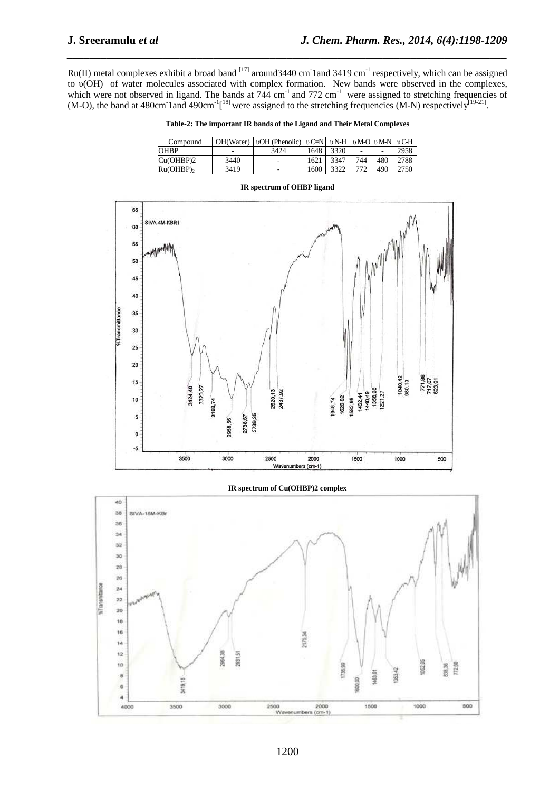Ru(II) metal complexes exhibit a broad band  $^{[17]}$  around 3440 cm 1 and 3419 cm<sup>-1</sup> respectively, which can be assigned to υ(OH) of water molecules associated with complex formation. New bands were observed in the complexes, which were not observed in ligand. The bands at  $744 \text{ cm}^{-1}$  and  $772 \text{ cm}^{-1}$  were assigned to stretching frequencies of (M-O), the band at 480cm<sup>-1</sup> and 490cm<sup>-1</sup><sup>[18]</sup> were assigned to the stretching frequencies (M-N) respectively<sup>[19-21]</sup>.

*\_\_\_\_\_\_\_\_\_\_\_\_\_\_\_\_\_\_\_\_\_\_\_\_\_\_\_\_\_\_\_\_\_\_\_\_\_\_\_\_\_\_\_\_\_\_\_\_\_\_\_\_\_\_\_\_\_\_\_\_\_\_\_\_\_\_\_\_\_\_\_\_\_\_\_\_\_\_*

**Table-2: The important IR bands of the Ligand and Their Metal Complexes** 

| Compound       |      | OH(Water)   vOH (Phenolic)   vC=N   vN-H   vM-O   vM-N   vC-H |      |      |     |     |      |
|----------------|------|---------------------------------------------------------------|------|------|-----|-----|------|
| <b>OHBP</b>    | -    | 3424                                                          | 1648 | 3320 |     |     | 2958 |
| Cu(OHBP)2      | 3440 | -                                                             | 1621 | 3347 | 744 | 480 | 2788 |
| $Ru(OHBP)_{2}$ | 3419 | ٠                                                             | 1600 | 3322 |     | 490 | 2750 |



## **IR spectrum of Cu(OHBP)2 complex**



#### **IR spectrum of OHBP ligand**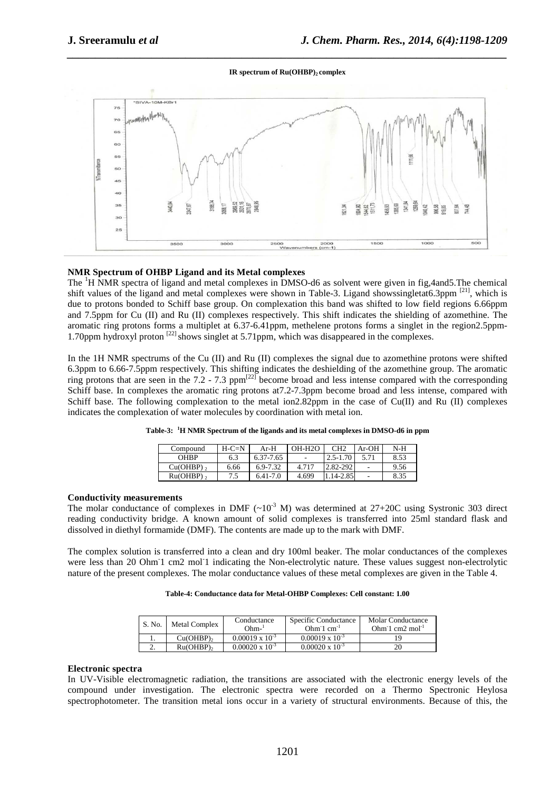## *\_\_\_\_\_\_\_\_\_\_\_\_\_\_\_\_\_\_\_\_\_\_\_\_\_\_\_\_\_\_\_\_\_\_\_\_\_\_\_\_\_\_\_\_\_\_\_\_\_\_\_\_\_\_\_\_\_\_\_\_\_\_\_\_\_\_\_\_\_\_\_\_\_\_\_\_\_\_* **IR spectrum of Ru(OHBP)2 complex**



## **NMR Spectrum of OHBP Ligand and its Metal complexes**

The <sup>1</sup>H NMR spectra of ligand and metal complexes in DMSO-d6 as solvent were given in fig,4and5.The chemical shift values of the ligand and metal complexes were shown in Table-3. Ligand showssingletat6.3ppm <sup>[21]</sup>, which is due to protons bonded to Schiff base group. On complexation this band was shifted to low field regions 6.66ppm and 7.5ppm for Cu (II) and Ru (II) complexes respectively. This shift indicates the shielding of azomethine. The aromatic ring protons forms a multiplet at 6.37-6.41ppm, methelene protons forms a singlet in the region2.5ppm-1.70ppm hydroxyl proton <sup>[22]</sup> shows singlet at 5.71ppm, which was disappeared in the complexes.

In the 1H NMR spectrums of the Cu (II) and Ru (II) complexes the signal due to azomethine protons were shifted 6.3ppm to 6.66-7.5ppm respectively. This shifting indicates the deshielding of the azomethine group. The aromatic ring protons that are seen in the 7.2 - 7.3 ppm<sup>[22]</sup> become broad and less intense compared with the corresponding Schiff base. In complexes the aromatic ring protons at7.2-7.3ppm become broad and less intense, compared with Schiff base. The following complexation to the metal ion2.82ppm in the case of  $Cu(II)$  and Ru (II) complexes indicates the complexation of water molecules by coordination with metal ion.

| Compound                | $H-C=N$ | $Ar-H$    | $OH-H2O$ | CH <sub>2</sub> | $Ar-OH$ | N-H  |
|-------------------------|---------|-----------|----------|-----------------|---------|------|
| <b>OHBP</b>             | 6.3     | 6.37-7.65 | ۰        | $2.5 - 1.70$    |         | 8.53 |
| $Cu(OHBP)$ ,            | 6.66    | 6.9-7.32  | 4.717    | 2.82-292        | ۰       | 9.56 |
| $Ru(OHBP)$ <sub>2</sub> | 7.5     | 6.41-7.0  | 4.699    | 1.14-2.85       | ٠       | 8.35 |

|  |  | Table-3: <sup>1</sup> H NMR Spectrum of the ligands and its metal complexes in DMSO-d6 in ppm |  |  |
|--|--|-----------------------------------------------------------------------------------------------|--|--|
|--|--|-----------------------------------------------------------------------------------------------|--|--|

#### **Conductivity measurements**

The molar conductance of complexes in DMF  $({\sim}10^{-3}$  M) was determined at 27+20C using Systronic 303 direct reading conductivity bridge. A known amount of solid complexes is transferred into 25ml standard flask and dissolved in diethyl formamide (DMF). The contents are made up to the mark with DMF.

The complex solution is transferred into a clean and dry 100ml beaker. The molar conductances of the complexes were less than 20 Ohm<sup>-1</sup> cm2 mol<sup>-1</sup> indicating the Non-electrolytic nature. These values suggest non-electrolytic nature of the present complexes. The molar conductance values of these metal complexes are given in the Table 4.

### **Table-4: Conductance data for Metal-OHBP Complexes: Cell constant: 1.00**

| S. No.   | <b>Metal Complex</b> | Conductance<br>Ohm-'     | Specific Conductance<br>$Ohm-1 cm-1$ | Molar Conductance<br>Ohm $1 \text{ cm}$ $2 \text{ mol}^{-1}$ |
|----------|----------------------|--------------------------|--------------------------------------|--------------------------------------------------------------|
|          | Cu(OHBP)             | $0.00019 \times 10^{-3}$ | $0.00019 \times 10^{-3}$             |                                                              |
| <u>.</u> | Ru(OHBP)             | $0.00020 \times 10^{-3}$ | $0.00020 \times 10^{-3}$             |                                                              |

## **Electronic spectra**

In UV-Visible electromagnetic radiation, the transitions are associated with the electronic energy levels of the compound under investigation. The electronic spectra were recorded on a Thermo Spectronic Heylosa spectrophotometer. The transition metal ions occur in a variety of structural environments. Because of this, the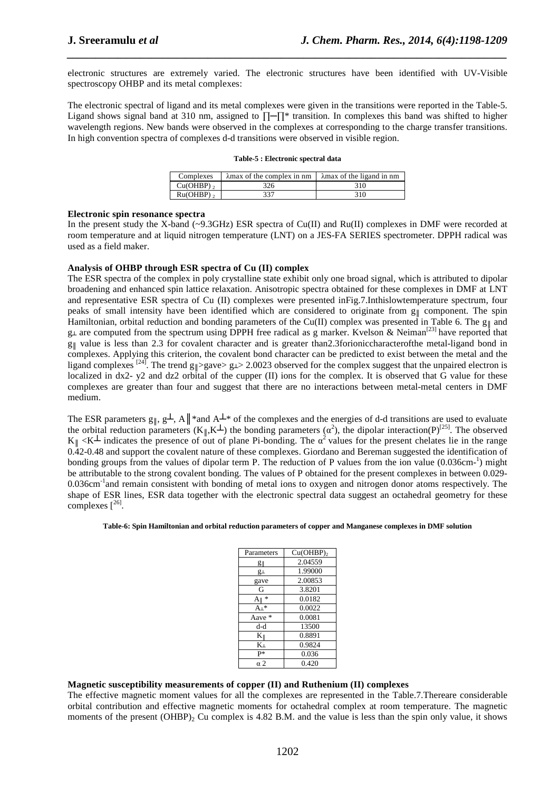electronic structures are extremely varied. The electronic structures have been identified with UV-Visible spectroscopy OHBP and its metal complexes:

*\_\_\_\_\_\_\_\_\_\_\_\_\_\_\_\_\_\_\_\_\_\_\_\_\_\_\_\_\_\_\_\_\_\_\_\_\_\_\_\_\_\_\_\_\_\_\_\_\_\_\_\_\_\_\_\_\_\_\_\_\_\_\_\_\_\_\_\_\_\_\_\_\_\_\_\_\_\_*

The electronic spectral of ligand and its metal complexes were given in the transitions were reported in the Table-5. Ligand shows signal band at 310 nm, assigned to ∏─∏\* transition. In complexes this band was shifted to higher wavelength regions. New bands were observed in the complexes at corresponding to the charge transfer transitions. In high convention spectra of complexes d-d transitions were observed in visible region.

|  |  | Table-5 : Electronic spectral data |  |  |
|--|--|------------------------------------|--|--|
|--|--|------------------------------------|--|--|

| Complexes    | $\lambda$ max of the complex in nm | $\lambda$ max of the ligand in nm |
|--------------|------------------------------------|-----------------------------------|
| $Cu(OHBP)$ , | 326                                | 310                               |
| $Ru(OHBP)$ , | 337                                | 310.                              |

#### **Electronic spin resonance spectra**

In the present study the X-band (~9.3GHz) ESR spectra of Cu(II) and Ru(II) complexes in DMF were recorded at room temperature and at liquid nitrogen temperature (LNT) on a JES-FA SERIES spectrometer. DPPH radical was used as a field maker.

### **Analysis of OHBP through ESR spectra of Cu (II) complex**

The ESR spectra of the complex in poly crystalline state exhibit only one broad signal, which is attributed to dipolar broadening and enhanced spin lattice relaxation. Anisotropic spectra obtained for these complexes in DMF at LNT and representative ESR spectra of Cu (II) complexes were presented inFig.7.Inthislowtemperature spectrum, four peaks of small intensity have been identified which are considered to originate from  $g_{\parallel}$  component. The spin Hamiltonian, orbital reduction and bonding parameters of the Cu(II) complex was presented in Table 6. The g<sub>||</sub> and  $g_{\perp}$  are computed from the spectrum using DPPH free radical as g marker. Kvelson & Neiman<sup>[23]</sup> have reported that  $g_{\parallel}$  value is less than 2.3 for covalent character and is greater than2.3forioniccharacterofthe metal-ligand bond in complexes. Applying this criterion, the covalent bond character can be predicted to exist between the metal and the ligand complexes  $^{[24]}$ . The trend g<sub>||</sub>>gave> g⊥> 2.0023 observed for the complex suggest that the unpaired electron is localized in dx2- y2 and dz2 orbital of the cupper (II) ions for the complex. It is observed that G value for these complexes are greater than four and suggest that there are no interactions between metal-metal centers in DMF medium.

The ESR parameters  $g_{\parallel}$ ,  $g_{\perp}$ , A $\parallel^*$  and A $\perp^*$  of the complexes and the energies of d-d transitions are used to evaluate the orbital reduction parameters  $(K_{\parallel}, K^{\perp})$  the bonding parameters  $(\alpha^2)$ , the dipolar interaction(P)<sup>[25]</sup>. The observed  $K_{\parallel} < K^{\perp}$  indicates the presence of out of plane Pi-bonding. The  $\alpha^2$  values for the present chelates lie in the range 0.42-0.48 and support the covalent nature of these complexes. Giordano and Bereman suggested the identification of bonding groups from the values of dipolar term P. The reduction of P values from the ion value (0.036cm-1) might be attributable to the strong covalent bonding. The values of P obtained for the present complexes in between 0.029- 0.036cm<sup>-1</sup>and remain consistent with bonding of metal ions to oxygen and nitrogen donor atoms respectively. The shape of ESR lines, ESR data together with the electronic spectral data suggest an octahedral geometry for these complexes  $[^{26}]$ .

#### **Table-6: Spin Hamiltonian and orbital reduction parameters of copper and Manganese complexes in DMF solution**

| Parameters      | $Cu(OHBP)$ <sub>2</sub> |
|-----------------|-------------------------|
| g∥              | 2.04559                 |
| g⊥              | 1.99000                 |
| gave            | 2.00853                 |
| G               | 3.8201                  |
| 冰<br>A۱         | 0.0182                  |
| $A_{\perp}$ *   | 0.0022                  |
| Aave $*$        | 0.0081                  |
| d-d             | 13500                   |
| $K_{\parallel}$ | 0.8891                  |
| K+              | 0.9824                  |
| p*              | 0.036                   |
| α2              | 0.420                   |

## **Magnetic susceptibility measurements of copper (II) and Ruthenium (II) complexes**

The effective magnetic moment values for all the complexes are represented in the Table.7.Thereare considerable orbital contribution and effective magnetic moments for octahedral complex at room temperature. The magnetic moments of the present  $(OHBP)$ <sub>2</sub> Cu complex is 4.82 B.M. and the value is less than the spin only value, it shows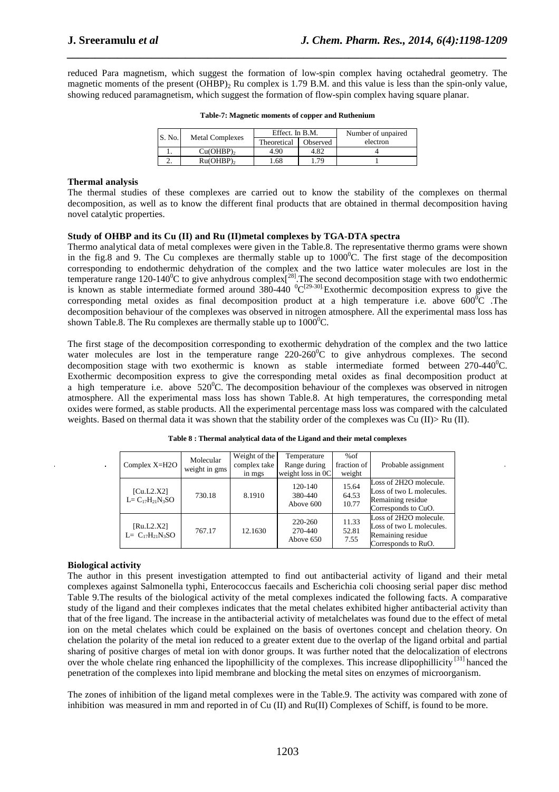reduced Para magnetism, which suggest the formation of low-spin complex having octahedral geometry. The magnetic moments of the present  $(OHBP)$ , Ru complex is 1.79 B.M. and this value is less than the spin-only value, showing reduced paramagnetism, which suggest the formation of flow-spin complex having square planar.

*\_\_\_\_\_\_\_\_\_\_\_\_\_\_\_\_\_\_\_\_\_\_\_\_\_\_\_\_\_\_\_\_\_\_\_\_\_\_\_\_\_\_\_\_\_\_\_\_\_\_\_\_\_\_\_\_\_\_\_\_\_\_\_\_\_\_\_\_\_\_\_\_\_\_\_\_\_\_*

| S. No. | <b>Metal Complexes</b> | Effect. In B.M. |          | Number of unpaired |
|--------|------------------------|-----------------|----------|--------------------|
|        |                        | Theoretical     | Observed | electron           |
|        | Cu(OHBP)               | 4.90            | 4.82     |                    |
| ـ.     | $Ru(OHBP)$ ,           | 1.68            | .79      |                    |

|  |  | Table-7: Magnetic moments of copper and Ruthenium |
|--|--|---------------------------------------------------|
|  |  |                                                   |

## **Thermal analysis**

The thermal studies of these complexes are carried out to know the stability of the complexes on thermal decomposition, as well as to know the different final products that are obtained in thermal decomposition having novel catalytic properties.

## **Study of OHBP and its Cu (II) and Ru (II)metal complexes by TGA-DTA spectra**

Thermo analytical data of metal complexes were given in the Table.8. The representative thermo grams were shown in the fig.8 and 9. The Cu complexes are thermally stable up to  $1000^{\circ}$ C. The first stage of the decomposition corresponding to endothermic dehydration of the complex and the two lattice water molecules are lost in the temperature range 120-140<sup>0</sup>C to give anhydrous complex<sup>[28]</sup>. The second decomposition stage with two endothermic is known as stable intermediate formed around  $380-440\ {}^{0}C^{[29-30]}$  Exothermic decomposition express to give the corresponding metal oxides as final decomposition product at a high temperature i.e. above  $600^{\circ}$ C. The decomposition behaviour of the complexes was observed in nitrogen atmosphere. All the experimental mass loss has shown Table.8. The Ru complexes are thermally stable up to  $1000^{\circ}$ C.

The first stage of the decomposition corresponding to exothermic dehydration of the complex and the two lattice water molecules are lost in the temperature range  $220{\text -}260^{\circ}$ C to give anhydrous complexes. The second decomposition stage with two exothermic is known as stable intermediate formed between  $270-440^{\circ}$ C. Exothermic decomposition express to give the corresponding metal oxides as final decomposition product at a high temperature i.e. above  $520^{\circ}$ C. The decomposition behaviour of the complexes was observed in nitrogen atmosphere. All the experimental mass loss has shown Table.8. At high temperatures, the corresponding metal oxides were formed, as stable products. All the experimental percentage mass loss was compared with the calculated weights. Based on thermal data it was shown that the stability order of the complexes was Cu (II)> Ru (II).

| Complex $X=H2O$                       | Molecular<br>weight in gms | Weight of the<br>complex take<br>in mgs | Temperature<br>Range during<br>weight loss in $0C$ | %of<br>fraction of<br>weight | Probable assignment                                                                            |
|---------------------------------------|----------------------------|-----------------------------------------|----------------------------------------------------|------------------------------|------------------------------------------------------------------------------------------------|
| [Cu.L2.X2]<br>$L = C_{17}H_{21}N_3SO$ | 730.18                     | 8.1910                                  | $120 - 140$<br>380-440<br>Above 600                | 15.64<br>64.53<br>10.77      | Loss of 2H2O molecule.<br>Loss of two L molecules.<br>Remaining residue<br>Corresponds to CuO. |
| [Ru.L2.X2]<br>$L = C_{17}H_{21}N_3SO$ | 767.17                     | 12.1630                                 | 220-260<br>270-440<br>Above 650                    | 11.33<br>52.81<br>7.55       | Loss of 2H2O molecule.<br>Loss of two L molecules.<br>Remaining residue<br>Corresponds to RuO. |

**Table 8 : Thermal analytical data of the Ligand and their metal complexes** 

## **Biological activity**

The author in this present investigation attempted to find out antibacterial activity of ligand and their metal complexes against Salmonella typhi, Enterococcus faecails and Escherichia coli choosing serial paper disc method Table 9.The results of the biological activity of the metal complexes indicated the following facts. A comparative study of the ligand and their complexes indicates that the metal chelates exhibited higher antibacterial activity than that of the free ligand. The increase in the antibacterial activity of metalchelates was found due to the effect of metal ion on the metal chelates which could be explained on the basis of overtones concept and chelation theory. On chelation the polarity of the metal ion reduced to a greater extent due to the overlap of the ligand orbital and partial sharing of positive charges of metal ion with donor groups. It was further noted that the delocalization of electrons over the whole chelate ring enhanced the lipophillicity of the complexes. This increase dlipophillicity<sup>[31]</sup> hanced the penetration of the complexes into lipid membrane and blocking the metal sites on enzymes of microorganism.

The zones of inhibition of the ligand metal complexes were in the Table.9. The activity was compared with zone of inhibition was measured in mm and reported in of Cu (II) and Ru(II) Complexes of Schiff, is found to be more.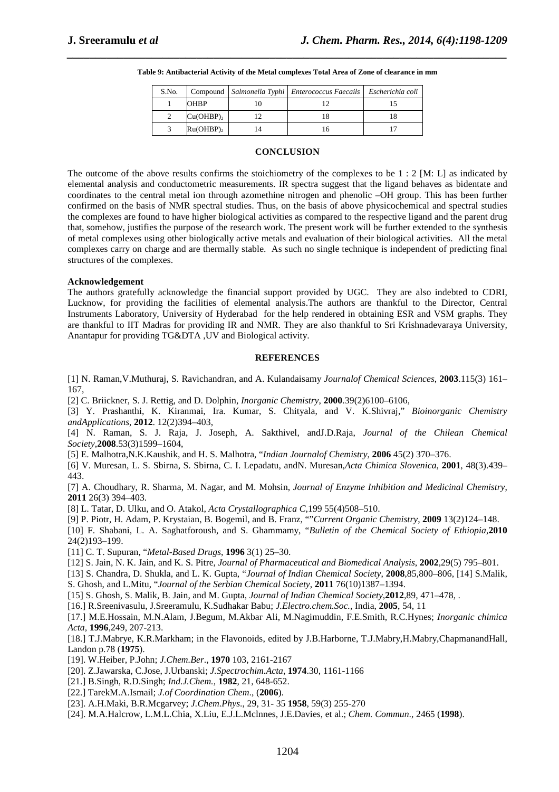| S.No. |                | Compound   Salmonella Typhi   Enterococcus Faecails   Escherichia coli |  |
|-------|----------------|------------------------------------------------------------------------|--|
|       | <b>OHBP</b>    |                                                                        |  |
|       | $Cu(OHBP)_{2}$ |                                                                        |  |
|       | $Ru(OHBP)_{2}$ |                                                                        |  |

#### **Table 9: Antibacterial Activity of the Metal complexes Total Area of Zone of clearance in mm**

*\_\_\_\_\_\_\_\_\_\_\_\_\_\_\_\_\_\_\_\_\_\_\_\_\_\_\_\_\_\_\_\_\_\_\_\_\_\_\_\_\_\_\_\_\_\_\_\_\_\_\_\_\_\_\_\_\_\_\_\_\_\_\_\_\_\_\_\_\_\_\_\_\_\_\_\_\_\_*

## **CONCLUSION**

The outcome of the above results confirms the stoichiometry of the complexes to be  $1: 2$  [M: L] as indicated by elemental analysis and conductometric measurements. IR spectra suggest that the ligand behaves as bidentate and coordinates to the central metal ion through azomethine nitrogen and phenolic –OH group. This has been further confirmed on the basis of NMR spectral studies. Thus, on the basis of above physicochemical and spectral studies the complexes are found to have higher biological activities as compared to the respective ligand and the parent drug that, somehow, justifies the purpose of the research work. The present work will be further extended to the synthesis of metal complexes using other biologically active metals and evaluation of their biological activities. All the metal complexes carry on charge and are thermally stable. As such no single technique is independent of predicting final structures of the complexes.

### **Acknowledgement**

The authors gratefully acknowledge the financial support provided by UGC. They are also indebted to CDRI, Lucknow, for providing the facilities of elemental analysis.The authors are thankful to the Director, Central Instruments Laboratory, University of Hyderabad for the help rendered in obtaining ESR and VSM graphs. They are thankful to IIT Madras for providing IR and NMR. They are also thankful to Sri Krishnadevaraya University, Anantapur for providing TG&DTA ,UV and Biological activity.

### **REFERENCES**

[1] N. Raman,V.Muthuraj, S. Ravichandran, and A. Kulandaisamy *Journalof Chemical Sciences*, **2003**.115(3) 161– 167,

[2] C. Briickner, S. J. Rettig, and D. Dolphin, *Inorganic Chemistry*, **2000**.39(2)6100–6106,

[3] Y. Prashanthi, K. Kiranmai, Ira. Kumar, S. Chityala, and V. K.Shivraj," *Bioinorganic Chemistry andApplications*, **2012**. 12(2)394–403,

[4] N. Raman, S. J. Raja, J. Joseph, A. Sakthivel, andJ.D.Raja, *Journal of the Chilean Chemical Society*,**2008**.53(3)1599–1604,

[5] E. Malhotra,N.K.Kaushik, and H. S. Malhotra, "*Indian Journalof Chemistry*, **2006** 45(2) 370–376.

[6] V. Muresan, L. S. Sbirna, S. Sbirna, C. I. Lepadatu, andN. Muresan,*Acta Chimica Slovenica*, **2001**, 48(3).439– 443.

[7] A. Choudhary, R. Sharma, M. Nagar, and M. Mohsin, *Journal of Enzyme Inhibition and Medicinal Chemistry*, **2011** 26(3) 394–403.

[8] L. Tatar, D. Ulku, and O. Atakol, *Acta Crystallographica C*,199 55(4)508–510.

[9] P. Piotr, H. Adam, P. Krystaian, B. Bogemil, and B. Franz, ""*Current Organic Chemistry*, **2009** 13(2)124–148.

[10] F. Shabani, L. A. Saghatforoush, and S. Ghammamy, "*Bulletin of the Chemical Society of Ethiopia*,**2010** 24(2)193–199.

[11] C. T. Supuran, "*Metal-Based Drugs*, **1996** 3(1) 25–30.

[12] S. Jain, N. K. Jain, and K. S. Pitre, *Journal of Pharmaceutical and Biomedical Analysis*, **2002**,29(5) 795–801.

[13] S. Chandra, D. Shukla, and L. K. Gupta, "*Journal of Indian Chemical Society*, **2008**,85,800–806, [14] S.Malik,

S. Ghosh, and L.Mitu, "*Journal of the Serbian Chemical Society*, **2011** 76(10)1387–1394.

[15] S. Ghosh, S. Malik, B. Jain, and M. Gupta, *Journal of Indian Chemical Society*,**2012**,89, 471–478, .

[16.] R.Sreenivasulu, J.Sreeramulu, K.Sudhakar Babu; *J.Electro.chem.Soc.,* India, **2005**, 54, 11

[17.] M.E.Hossain, M.N.Alam, J.Begum, M.Akbar Ali, M.Nagimuddin, F.E.Smith, R.C.Hynes; *Inorganic chimica Acta,* **1996**,249, 207-213.

[18.] T.J.Mabrye, K.R.Markham; in the Flavonoids, edited by J.B.Harborne, T.J.Mabry,H.Mabry,ChapmanandHall, Landon p.78 (**1975**).

[19]. W.Heiber, P.John; *J.Chem.Ber*., **1970** 103, 2161-2167

[20]. Z.Jawarska, C.Jose, J.Urbanski; *J.Spectrochim.Acta*, **1974**.30, 1161-1166

[21.] B.Singh, R.D.Singh; *Ind.J.Chem.,* **1982**, 21, 648-652.

[22.] TarekM.A.Ismail; *J.of Coordination Chem*., (**2006**).

[23]. A.H.Maki, B.R.Mcgarvey; *J.Chem.Phys*., 29, 31- 35 **1958**, 59(3) 255-270

[24]. M.A.Halcrow, L.M.L.Chia, X.Liu, E.J.L.Mclnnes, J.E.Davies, et al.; *Chem. Commun*., 2465 (**1998**).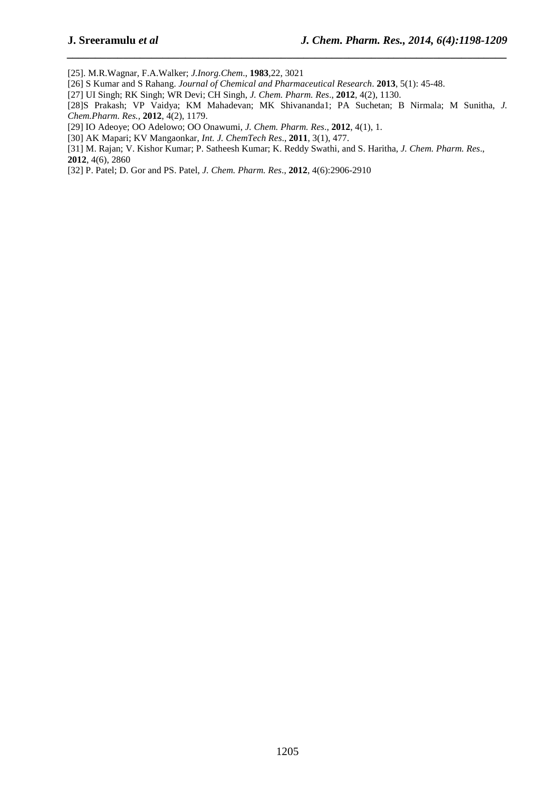[25]. M.R.Wagnar, F.A.Walker; *J.Inorg.Chem*., **1983**,22, 3021

[26] S Kumar and S Rahang. *Journal of Chemical and Pharmaceutical Research*. **2013**, 5(1): 45-48.

[27] UI Singh; RK Singh; WR Devi; CH Singh, *J. Chem. Pharm. Res*., **2012**, 4(2), 1130.

[28]S Prakash; VP Vaidya; KM Mahadevan; MK Shivananda1; PA Suchetan; B Nirmala; M Sunitha, *J. Chem.Pharm. Res.,* **2012**, 4(2), 1179.

*\_\_\_\_\_\_\_\_\_\_\_\_\_\_\_\_\_\_\_\_\_\_\_\_\_\_\_\_\_\_\_\_\_\_\_\_\_\_\_\_\_\_\_\_\_\_\_\_\_\_\_\_\_\_\_\_\_\_\_\_\_\_\_\_\_\_\_\_\_\_\_\_\_\_\_\_\_\_*

[29] IO Adeoye; OO Adelowo; OO Onawumi, *J. Chem. Pharm. Res*., **2012**, 4(1), 1.

[30] AK Mapari; KV Mangaonkar, *Int. J. ChemTech Res*., **2011**, 3(1), 477.

[31] M. Rajan; V. Kishor Kumar; P. Satheesh Kumar; K. Reddy Swathi, and S. Haritha, *J. Chem. Pharm. Res*., **2012**, 4(6), 2860

[32] P. Patel; D. Gor and PS. Patel, *J. Chem. Pharm. Res*., **2012**, 4(6):2906-2910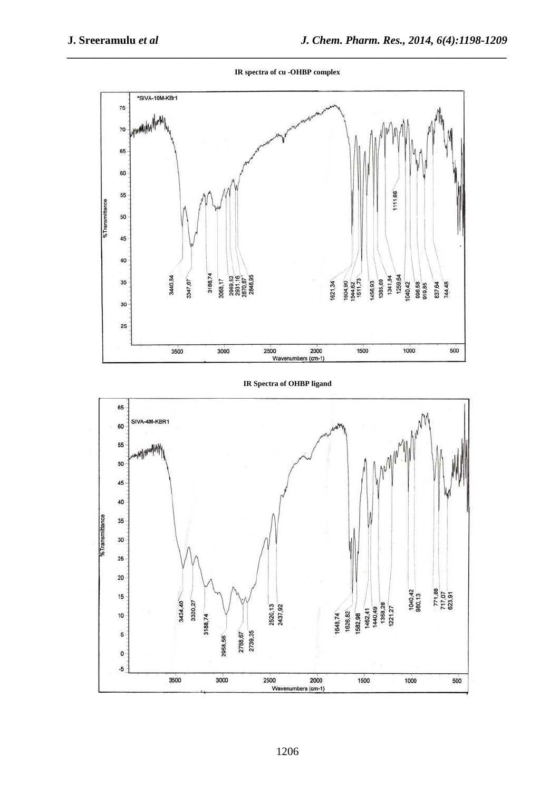*\_\_\_\_\_\_\_\_\_\_\_\_\_\_\_\_\_\_\_\_\_\_\_\_\_\_\_\_\_\_\_\_\_\_\_\_\_\_\_\_\_\_\_\_\_\_\_\_\_\_\_\_\_\_\_\_\_\_\_\_\_\_\_\_\_\_\_\_\_\_\_\_\_\_\_\_\_\_* **IR spectra of cu -OHBP complex** 



**IR Spectra of OHBP ligand** 

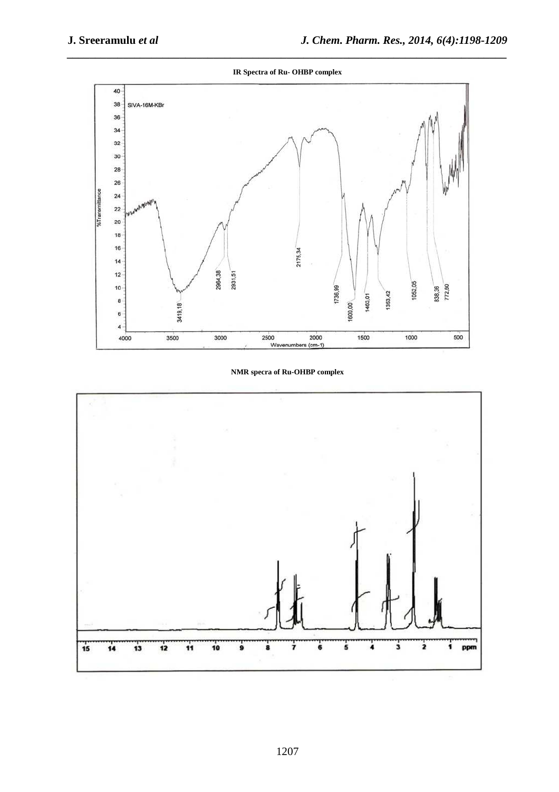*\_\_\_\_\_\_\_\_\_\_\_\_\_\_\_\_\_\_\_\_\_\_\_\_\_\_\_\_\_\_\_\_\_\_\_\_\_\_\_\_\_\_\_\_\_\_\_\_\_\_\_\_\_\_\_\_\_\_\_\_\_\_\_\_\_\_\_\_\_\_\_\_\_\_\_\_\_\_* **IR Spectra of Ru- OHBP complex** 



**NMR specra of Ru-OHBP complex** 

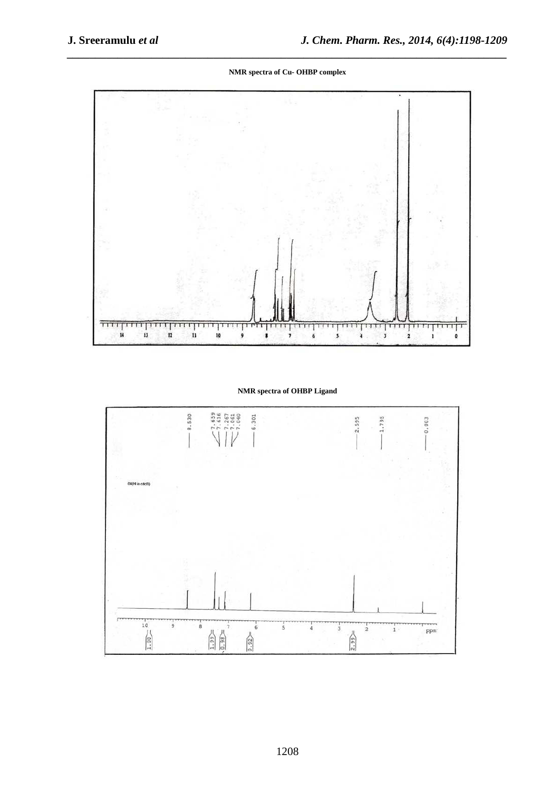*\_\_\_\_\_\_\_\_\_\_\_\_\_\_\_\_\_\_\_\_\_\_\_\_\_\_\_\_\_\_\_\_\_\_\_\_\_\_\_\_\_\_\_\_\_\_\_\_\_\_\_\_\_\_\_\_\_\_\_\_\_\_\_\_\_\_\_\_\_\_\_\_\_\_\_\_\_\_* **NMR spectra of Cu- OHBP complex** 



**NMR spectra of OHBP Ligand**